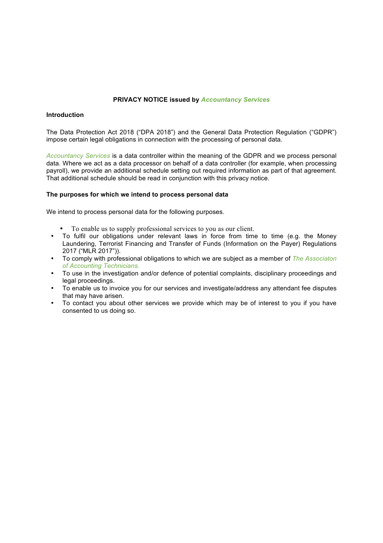# **PRIVACY NOTICE issued by** *Accountancy Services*

## **Introduction**

The Data Protection Act 2018 ("DPA 2018") and the General Data Protection Regulation ("GDPR") impose certain legal obligations in connection with the processing of personal data*.*

*Accountancy Services* is a data controller within the meaning of the GDPR and we process personal data. Where we act as a data processor on behalf of a data controller (for example, when processing payroll), we provide an additional schedule setting out required information as part of that agreement. That additional schedule should be read in conjunction with this privacy notice.

# **The purposes for which we intend to process personal data**

We intend to process personal data for the following purposes.

- To enable us to supply professional services to you as our client.
- To fulfil our obligations under relevant laws in force from time to time (e.g. the Money Laundering, Terrorist Financing and Transfer of Funds (Information on the Payer) Regulations 2017 ("MLR 2017")).
- To comply with professional obligations to which we are subject as a member of *The Associaton of Accounting Technicians.*
- To use in the investigation and/or defence of potential complaints, disciplinary proceedings and legal proceedings.
- To enable us to invoice you for our services and investigate/address any attendant fee disputes that may have arisen.
- To contact you about other services we provide which may be of interest to you if you have consented to us doing so.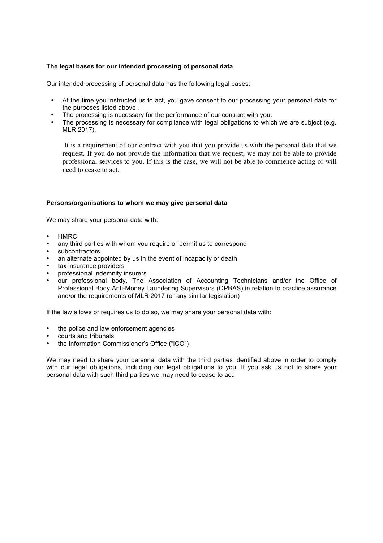# **The legal bases for our intended processing of personal data**

Our intended processing of personal data has the following legal bases:

- At the time you instructed us to act, you gave consent to our processing your personal data for the purposes listed above *.*
- The processing is necessary for the performance of our contract with you.
- The processing is necessary for compliance with legal obligations to which we are subject (e.g. MLR 2017).

It is a requirement of our contract with you that you provide us with the personal data that we request. If you do not provide the information that we request, we may not be able to provide professional services to you. If this is the case, we will not be able to commence acting or will need to cease to act.

# **Persons/organisations to whom we may give personal data**

We may share your personal data with:

- HMRC
- any third parties with whom you require or permit us to correspond
- subcontractors
- an alternate appointed by us in the event of incapacity or death
- tax insurance providers
- professional indemnity insurers
- our professional body, The Association of Accounting Technicians and/or the Office of Professional Body Anti-Money Laundering Supervisors (OPBAS) in relation to practice assurance and/or the requirements of MLR 2017 (or any similar legislation)

If the law allows or requires us to do so, we may share your personal data with:

- the police and law enforcement agencies
- courts and tribunals
- the Information Commissioner's Office ("ICO")

We may need to share your personal data with the third parties identified above in order to comply with our legal obligations, including our legal obligations to you. If you ask us not to share your personal data with such third parties we may need to cease to act.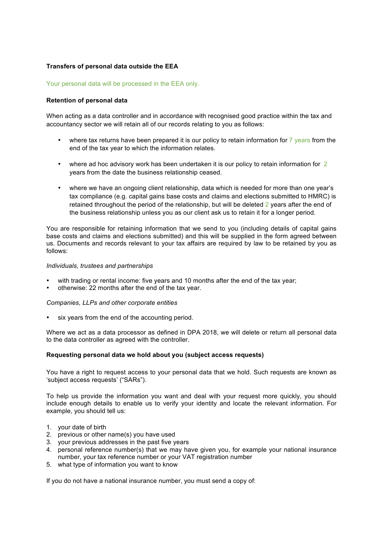# **Transfers of personal data outside the EEA**

## Your personal data will be processed in the EEA only.

## **Retention of personal data**

When acting as a data controller and in accordance with recognised good practice within the tax and accountancy sector we will retain all of our records relating to you as follows:

- where tax returns have been prepared it is our policy to retain information for  $\frac{7}{9}$  years from the end of the tax year to which the information relates.
- where ad hoc advisory work has been undertaken it is our policy to retain information for 2 years from the date the business relationship ceased.
- where we have an ongoing client relationship, data which is needed for more than one year's tax compliance (e.g. capital gains base costs and claims and elections submitted to HMRC) is retained throughout the period of the relationship, but will be deleted 2 years after the end of the business relationship unless you as our client ask us to retain it for a longer period.

You are responsible for retaining information that we send to you (including details of capital gains base costs and claims and elections submitted) and this will be supplied in the form agreed between us. Documents and records relevant to your tax affairs are required by law to be retained by you as follows:

#### *Individuals, trustees and partnerships*

- with trading or rental income: five years and 10 months after the end of the tax year;
- otherwise: 22 months after the end of the tax year.

#### *Companies, LLPs and other corporate entities*

six years from the end of the accounting period.

Where we act as a data processor as defined in DPA 2018, we will delete or return all personal data to the data controller as agreed with the controller.

#### **Requesting personal data we hold about you (subject access requests)**

You have a right to request access to your personal data that we hold. Such requests are known as 'subject access requests' ("SARs").

To help us provide the information you want and deal with your request more quickly, you should include enough details to enable us to verify your identity and locate the relevant information. For example, you should tell us:

- 1. your date of birth
- 2. previous or other name(s) you have used
- 3. your previous addresses in the past five years
- 4. personal reference number(s) that we may have given you, for example your national insurance number, your tax reference number or your VAT registration number
- 5. what type of information you want to know

If you do not have a national insurance number, you must send a copy of: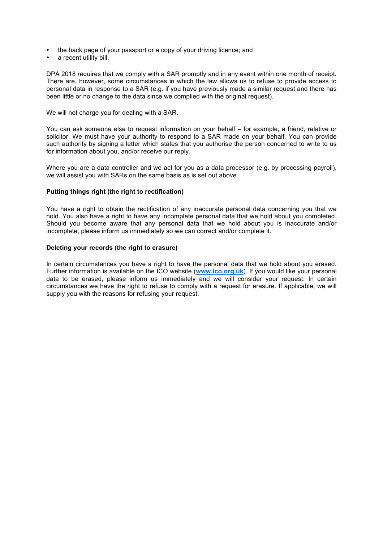- the back page of your passport or a copy of your driving licence; and
- a recent utility bill.

DPA 2018 requires that we comply with a SAR promptly and in any event within one month of receipt. There are, however, some circumstances in which the law allows us to refuse to provide access to personal data in response to a SAR (e.g. if you have previously made a similar request and there has been little or no change to the data since we complied with the original request).

#### We will not charge you for dealing with a SAR.

You can ask someone else to request information on your behalf – for example, a friend, relative or solicitor. We must have your authority to respond to a SAR made on your behalf. You can provide such authority by signing a letter which states that you authorise the person concerned to write to us for information about you, and/or receive our reply.

Where you are a data controller and we act for you as a data processor (e.g. by processing payroll), we will assist you with SARs on the same basis as is set out above.

#### **Putting things right (the right to rectification)**

You have a right to obtain the rectification of any inaccurate personal data concerning you that we hold. You also have a right to have any incomplete personal data that we hold about you completed. Should you become aware that any personal data that we hold about you is inaccurate and/or incomplete, please inform us immediately so we can correct and/or complete it.

#### **Deleting your records (the right to erasure)**

In certain circumstances you have a right to have the personal data that we hold about you erased. Further information is available on the ICO website (**www.ico.org.uk**). If you would like your personal data to be erased, please inform us immediately and we will consider your request. In certain circumstances we have the right to refuse to comply with a request for erasure. If applicable, we will supply you with the reasons for refusing your request.